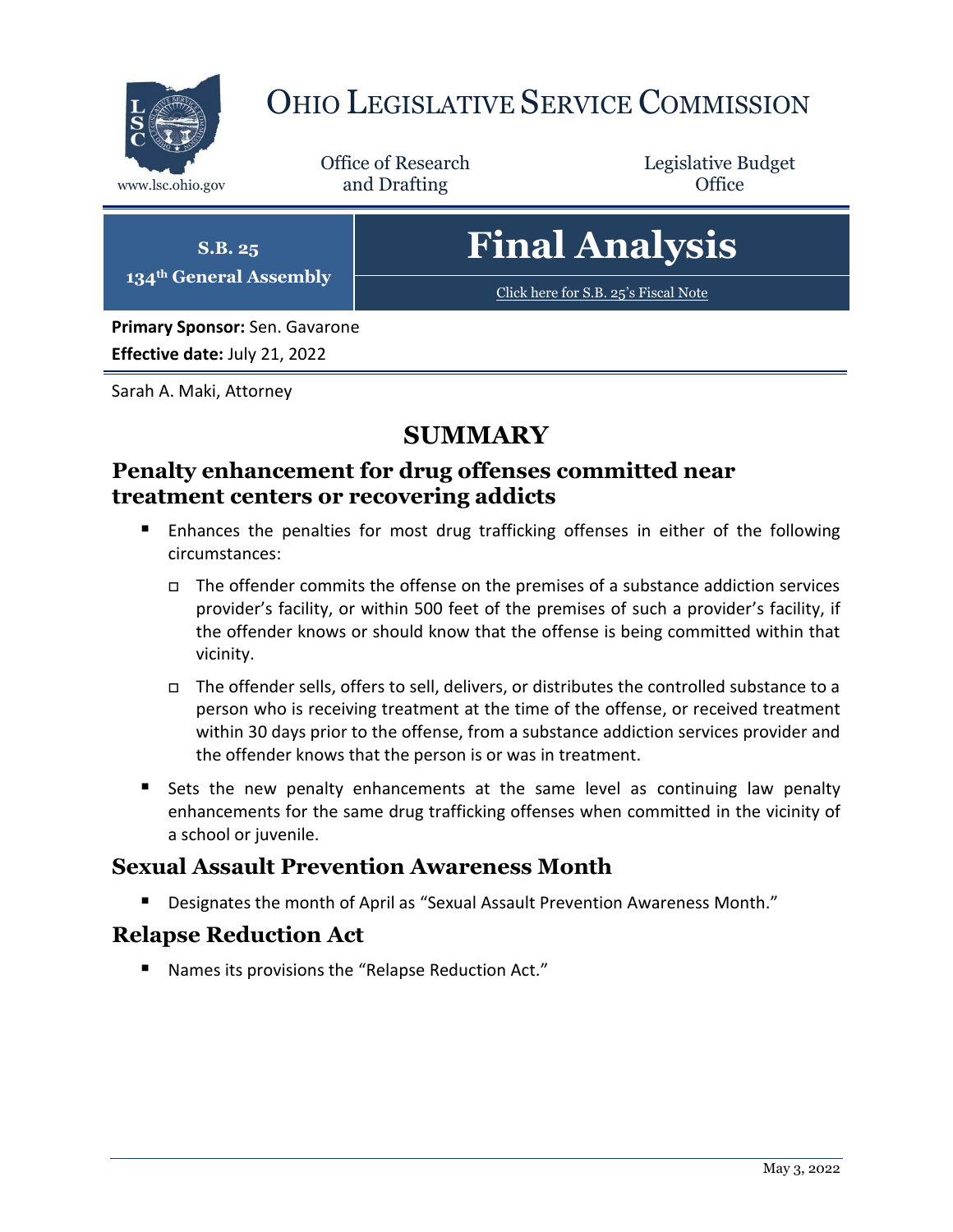

# OHIO LEGISLATIVE SERVICE COMMISSION

Office of Research www.lsc.ohio.gov **and Drafting Office** 

Legislative Budget

**S.B. 25 134th General Assembly** **Final Analysis**

[Click here for S.B. 25](https://www.legislature.ohio.gov/legislation/legislation-documents?id=GA134-SB-25)'s Fiscal Note

**Primary Sponsor:** Sen. Gavarone **Effective date:** July 21, 2022

Sarah A. Maki, Attorney

### **SUMMARY**

#### **Penalty enhancement for drug offenses committed near treatment centers or recovering addicts**

- **Enhances the penalties for most drug trafficking offenses in either of the following** circumstances:
	- $\Box$  The offender commits the offense on the premises of a substance addiction services provider's facility, or within 500 feet of the premises of such a provider's facility, if the offender knows or should know that the offense is being committed within that vicinity.
	- The offender sells, offers to sell, delivers, or distributes the controlled substance to a person who is receiving treatment at the time of the offense, or received treatment within 30 days prior to the offense, from a substance addiction services provider and the offender knows that the person is or was in treatment.
- Sets the new penalty enhancements at the same level as continuing law penalty enhancements for the same drug trafficking offenses when committed in the vicinity of a school or juvenile.

### **Sexual Assault Prevention Awareness Month**

Designates the month of April as "Sexual Assault Prevention Awareness Month."

### **Relapse Reduction Act**

■ Names its provisions the "Relapse Reduction Act."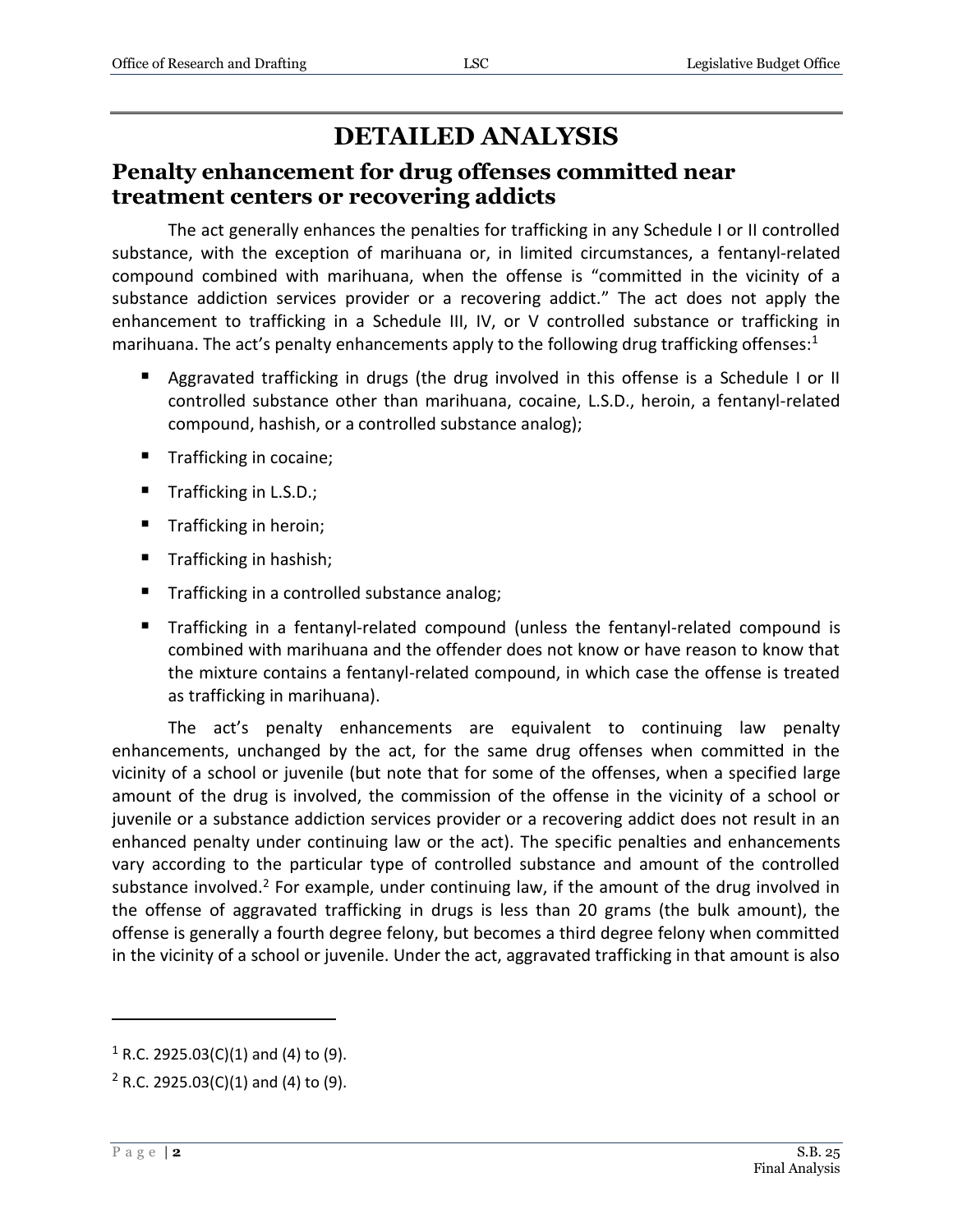## **DETAILED ANALYSIS**

#### **Penalty enhancement for drug offenses committed near treatment centers or recovering addicts**

The act generally enhances the penalties for trafficking in any Schedule I or II controlled substance, with the exception of marihuana or, in limited circumstances, a fentanyl-related compound combined with marihuana, when the offense is "committed in the vicinity of a substance addiction services provider or a recovering addict." The act does not apply the enhancement to trafficking in a Schedule III, IV, or V controlled substance or trafficking in marihuana. The act's penalty enhancements apply to the following drug trafficking offenses: $1$ 

- Aggravated trafficking in drugs (the drug involved in this offense is a Schedule I or II controlled substance other than marihuana, cocaine, L.S.D., heroin, a fentanyl-related compound, hashish, or a controlled substance analog);
- Trafficking in cocaine;
- Trafficking in L.S.D.;
- Trafficking in heroin;
- Trafficking in hashish;
- Trafficking in a controlled substance analog;
- Trafficking in a fentanyl-related compound (unless the fentanyl-related compound is combined with marihuana and the offender does not know or have reason to know that the mixture contains a fentanyl-related compound, in which case the offense is treated as trafficking in marihuana).

The act's penalty enhancements are equivalent to continuing law penalty enhancements, unchanged by the act, for the same drug offenses when committed in the vicinity of a school or juvenile (but note that for some of the offenses, when a specified large amount of the drug is involved, the commission of the offense in the vicinity of a school or juvenile or a substance addiction services provider or a recovering addict does not result in an enhanced penalty under continuing law or the act). The specific penalties and enhancements vary according to the particular type of controlled substance and amount of the controlled substance involved.<sup>2</sup> For example, under continuing law, if the amount of the drug involved in the offense of aggravated trafficking in drugs is less than 20 grams (the bulk amount), the offense is generally a fourth degree felony, but becomes a third degree felony when committed in the vicinity of a school or juvenile. Under the act, aggravated trafficking in that amount is also

 $\overline{a}$ 

 $1$  R.C. 2925.03(C)(1) and (4) to (9).

 $2$  R.C. 2925.03(C)(1) and (4) to (9).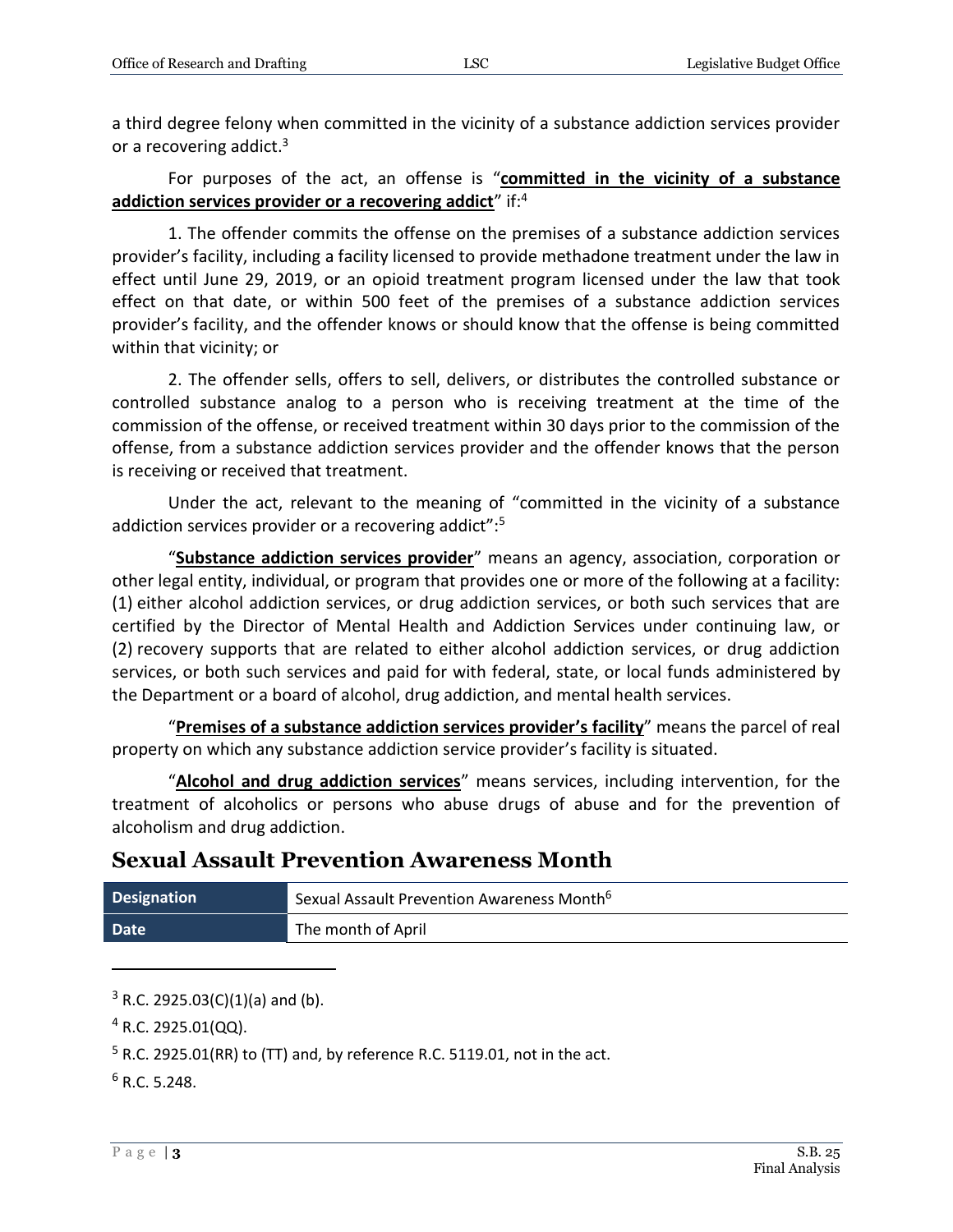a third degree felony when committed in the vicinity of a substance addiction services provider or a recovering addict.<sup>3</sup>

For purposes of the act, an offense is "**committed in the vicinity of a substance addiction services provider or a recovering addict**" if:<sup>4</sup>

1. The offender commits the offense on the premises of a substance addiction services provider's facility, including a facility licensed to provide methadone treatment under the law in effect until June 29, 2019, or an opioid treatment program licensed under the law that took effect on that date, or within 500 feet of the premises of a substance addiction services provider's facility, and the offender knows or should know that the offense is being committed within that vicinity; or

2. The offender sells, offers to sell, delivers, or distributes the controlled substance or controlled substance analog to a person who is receiving treatment at the time of the commission of the offense, or received treatment within 30 days prior to the commission of the offense, from a substance addiction services provider and the offender knows that the person is receiving or received that treatment.

Under the act, relevant to the meaning of "committed in the vicinity of a substance addiction services provider or a recovering addict":<sup>5</sup>

"**Substance addiction services provider**" means an agency, association, corporation or other legal entity, individual, or program that provides one or more of the following at a facility: (1) either alcohol addiction services, or drug addiction services, or both such services that are certified by the Director of Mental Health and Addiction Services under continuing law, or (2) recovery supports that are related to either alcohol addiction services, or drug addiction services, or both such services and paid for with federal, state, or local funds administered by the Department or a board of alcohol, drug addiction, and mental health services.

"**Premises of a substance addiction services provider's facility**" means the parcel of real property on which any substance addiction service provider's facility is situated.

"**Alcohol and drug addiction services**" means services, including intervention, for the treatment of alcoholics or persons who abuse drugs of abuse and for the prevention of alcoholism and drug addiction.

### **Sexual Assault Prevention Awareness Month**

| <b>Designation</b> | Sexual Assault Prevention Awareness Month <sup>6</sup> |
|--------------------|--------------------------------------------------------|
| Date               | The month of April                                     |

 $3$  R.C. 2925.03(C)(1)(a) and (b).

 $4$  R.C. 2925.01(QQ).

<sup>5</sup> R.C. 2925.01(RR) to (TT) and, by reference R.C. 5119.01, not in the act.

 $6$  R.C. 5.248.

 $\overline{a}$